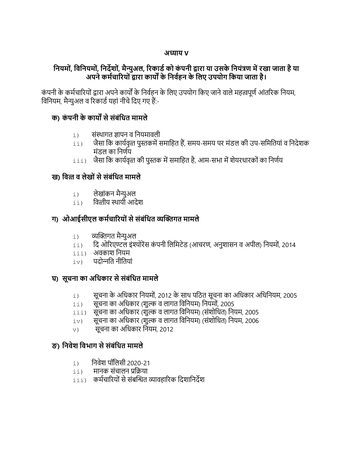### अ̡ याय V

# नियमों, विनियमों, निर्देशों, मैन्युअल, रिकार्ड को कंपनी द्वारा या उसके नियंत्रण में रखा जाता है या अपने कर्मचारियों द्वारा कार्यों के निर्वहन के लिए उपयोग किया जाता है।

कंपनी के कर्मचारियों द्वारा अपने कार्यों के निर्वहन के लिए उपयोग किए जाने वाले महत्वपूर्ण आंतरिक नियम, विनियम, मैन्युअल व रिकार्ड यहां नीचे दिए गए हैं:-

### क) कंपनी के कार्यों से संबंधित मामले

- $\pm$ ) संस्थागत ज्ञापन व नियमावली
- $\,$ ii) जैसा कि कार्यवृत्त पुस्तकमें समाहित हैं, समय-समय पर मंडल की उप-समितियां व निदेशक मंडल का निर्णय
- $\,$ iii) जैसा कि कार्यवृत्त की पुस्तक में समाहित है, आम-सभा में शेयरधारकों का निर्णय

# ख) वित्त व लेखों से संबंधित मामले

- i) लेखांकन मै̢ युअल
- $\overline{\mathbf{a}}$ ii) वित्तीय स्थायी आदेश

# ग) ओआईसीएल कर्मचारियों से संबंधित व्यक्तिगत मामले

- $\mathtt{i}$ ) व्यक्तिगत मैन्युअल
- $\,$ ii) िदि ओरिएण्टल इंश्योरेंस कंपनी लिमिटेड (आचरण, अनुशासन व अपील) नियमों, 2014
- iii) अवकाश िनयम
- $iv$ ) पदोन्नति नीतियां

# घ) सूचना का अिधकार से संबंिधत मामले

- $\,$ i) सूचना के अधिकार नियमों, 2012 के साथ पठित सूचना का अधिकार अधिनियम, 2005
- $\,$ ii) सूचना का अधिकार (शुल्क व लागत विनियम) नियमों, 2005
- $\overline{\textrm{ii}}$ i) सूचना का अधिकार (शुल्क व लागत विनियम) (संशोधित) नियम, 2005
- $\rm_{iv)}$  सूचना का अधिकार (शुल्क व लागत विनियम) (संशोधित) नियम, 2006
- $_{\rm V)}$  सूचना का अधिकार नियम, 2012

# ङ) िनवेश िवभाग से संबंिधत मामले

- $\pm$ ) निवेश पॉलिसी 2020-21
- $\overline{\text{iii}}$ ) मानक संचालन प्रक्रिया
- $\,$ iii) कर्मचारियों से संबन्धित व्यावहारिक दिशानिर्देश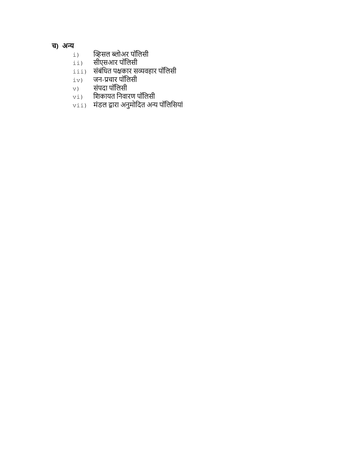# च) अन्य

- i) व्हिसल ब्लोअर पॉलिसी<br>ii) सीएसआर पॉलिसी
- सीएसआर पॉलिसी
- $\lim_{\pm\to\pm}$  संबंधित पक्षकार सव्यवहार पॉलिसी
- $\begin{bmatrix} i & v \end{bmatrix}$  जन-प्रचार पॉलिसी<br> $\begin{bmatrix} v & v \end{bmatrix}$  संपदा पॉलिसी
- v) संपदा पॉिलसी
- $v$ i) शिकायत निवारण पॉलिसी
- vii) मंडल Ȫारा अनुमोिदत अ̢ य पॉिलिसयां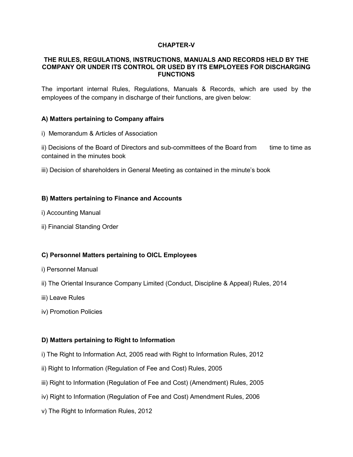#### CHAPTER-V

#### THE RULES, REGULATIONS, INSTRUCTIONS, MANUALS AND RECORDS HELD BY THE COMPANY OR UNDER ITS CONTROL OR USED BY ITS EMPLOYEES FOR DISCHARGING FUNCTIONS

The important internal Rules, Regulations, Manuals & Records, which are used by the employees of the company in discharge of their functions, are given below:

#### A) Matters pertaining to Company affairs

i) Memorandum & Articles of Association

ii) Decisions of the Board of Directors and sub-committees of the Board from time to time as contained in the minutes book

iii) Decision of shareholders in General Meeting as contained in the minute's book

#### B) Matters pertaining to Finance and Accounts

- i) Accounting Manual
- ii) Financial Standing Order

#### C) Personnel Matters pertaining to OICL Employees

- i) Personnel Manual
- ii) The Oriental Insurance Company Limited (Conduct, Discipline & Appeal) Rules, 2014
- iii) Leave Rules
- iv) Promotion Policies

#### D) Matters pertaining to Right to Information

- i) The Right to Information Act, 2005 read with Right to Information Rules, 2012
- ii) Right to Information (Regulation of Fee and Cost) Rules, 2005
- iii) Right to Information (Regulation of Fee and Cost) (Amendment) Rules, 2005
- iv) Right to Information (Regulation of Fee and Cost) Amendment Rules, 2006
- v) The Right to Information Rules, 2012